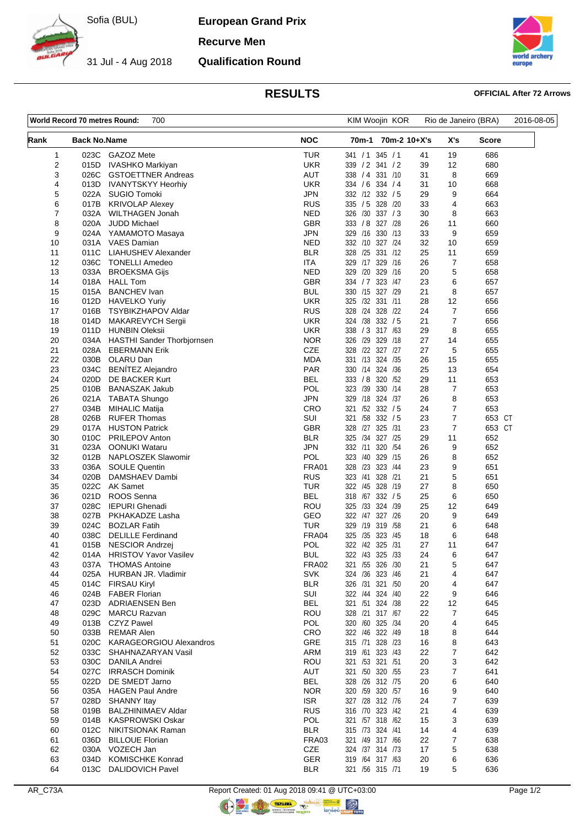

31 Jul - 4 Aug 2018

**European Grand Prix**

**Recurve Men**

**Qualification Round**



## **RESULTS OFFICIAL After 72 Arrows**

| World Record 70 metres Round:<br>700 |                     |                                                      |                          | KIM Woojin KOR                      |              | Rio de Janeiro (BRA) | 2016-08-05 |  |
|--------------------------------------|---------------------|------------------------------------------------------|--------------------------|-------------------------------------|--------------|----------------------|------------|--|
| Rank                                 | <b>Back No.Name</b> |                                                      | <b>NOC</b>               | 70m-1                               | 70m-2 10+X's | X's                  | Score      |  |
| 1                                    | 023C                | <b>GAZOZ Mete</b>                                    | <b>TUR</b>               | 341 / 1 345 / 1                     | 41           | 19                   | 686        |  |
| 2                                    | 015D                | IVASHKO Markiyan                                     | <b>UKR</b>               | 339 / 2 341 / 2                     | 39           | 12                   | 680        |  |
| 3                                    | 026C                | <b>GSTOETTNER Andreas</b>                            | <b>AUT</b>               | 338 / 4<br>331 /10                  | 31           | 8                    | 669        |  |
| 4                                    | 013D                | <b>IVANYTSKYY Heorhiy</b>                            | UKR                      | 334 / 6 334 / 4                     | 31           | 10                   | 668        |  |
| 5                                    | 022A                | <b>SUGIO Tomoki</b>                                  | <b>JPN</b>               | 332 /12 332 / 5                     | 29           | 9                    | 664        |  |
| 6<br>7                               | 017B                | <b>KRIVOLAP Alexey</b>                               | <b>RUS</b><br><b>NED</b> | 335 / 5 328 / 20                    | 33           | 4                    | 663        |  |
| 8                                    | 032A<br>020A        | <b>WILTHAGEN Jonah</b><br>JUDD Michael               | <b>GBR</b>               | 326 /30 337 / 3<br>333 / 8 327 / 28 | 30<br>26     | 8<br>11              | 663<br>660 |  |
| 9                                    | 024A                | YAMAMOTO Masaya                                      | JPN                      | 329 /16 330 /13                     | 33           | 9                    | 659        |  |
| 10                                   |                     | 031A VAES Damian                                     | <b>NED</b>               | 332 /10 327 /24                     | 32           | 10                   | 659        |  |
| 11                                   | 011C                | LIAHUSHEV Alexander                                  | <b>BLR</b>               | 328 /25 331 /12                     | 25           | 11                   | 659        |  |
| 12                                   | 036C                | <b>TONELLI Amedeo</b>                                | ITA                      | 329 /17 329 /16                     | 26           | $\boldsymbol{7}$     | 658        |  |
| 13                                   | 033A                | <b>BROEKSMA Gijs</b>                                 | <b>NED</b>               | 329 /20 329 /16                     | 20           | 5                    | 658        |  |
| 14                                   | 018A                | <b>HALL Tom</b>                                      | <b>GBR</b>               | 334 / 7 323 / 47                    | 23           | 6                    | 657        |  |
| 15                                   | 015A                | <b>BANCHEV</b> Ivan                                  | BUL                      | 330 /15 327 /29                     | 21           | 8                    | 657        |  |
| 16                                   | 012D                | <b>HAVELKO Yuriy</b>                                 | <b>UKR</b>               | 325 /32 331 /11                     | 28           | 12                   | 656        |  |
| 17                                   | 016B                | TSYBIKZHAPOV Aldar                                   | RUS                      | 328 /24 328 /22                     | 24           | $\overline{7}$       | 656        |  |
| 18                                   | 014D                | <b>MAKAREVYCH Sergii</b>                             | <b>UKR</b>               | 324 /38 332 / 5                     | 21           | 7                    | 656        |  |
| 19                                   | 011D                | <b>HUNBIN Oleksii</b>                                | <b>UKR</b>               | 338 / 3 317 / 63                    | 29           | 8                    | 655        |  |
| 20                                   | 034A                | HASTHI Sander Thorbjornsen                           | <b>NOR</b>               | 326 /29 329 /18                     | 27           | 14                   | 655        |  |
| 21<br>22                             | 028A<br>030B        | <b>EBERMANN Erik</b><br>OLARU Dan                    | CZE<br>MDA               | 328 /22 327 /27<br>331 /13 324 /35  | 27<br>26     | 5<br>15              | 655<br>655 |  |
| 23                                   | 034C                | <b>BENÍTEZ Alejandro</b>                             | <b>PAR</b>               | 330 /14 324 /36                     | 25           | 13                   | 654        |  |
| 24                                   | 020D                | DE BACKER Kurt                                       | <b>BEL</b>               | 333 / 8 320 / 52                    | 29           | 11                   | 653        |  |
| 25                                   | 010B                | <b>BANASZAK Jakub</b>                                | <b>POL</b>               | 323 /39 330 /14                     | 28           | 7                    | 653        |  |
| 26                                   | 021A                | <b>TABATA Shungo</b>                                 | <b>JPN</b>               | 329 /18 324 /37                     | 26           | 8                    | 653        |  |
| 27                                   | 034B                | <b>MIHALIC Matija</b>                                | CRO                      | 321 /52 332 / 5                     | 24           | $\overline{7}$       | 653        |  |
| 28                                   | 026B                | <b>RUFER Thomas</b>                                  | SUI                      | 321 /58 332 / 5                     | 23           | $\overline{7}$       | 653 CT     |  |
| 29                                   | 017A                | <b>HUSTON Patrick</b>                                | <b>GBR</b>               | 328 /27<br>325 / 31                 | 23           | 7                    | 653 CT     |  |
| 30                                   | 010C                | <b>PRILEPOV Anton</b>                                | <b>BLR</b>               | 325 /34 327 /25                     | 29           | 11                   | 652        |  |
| 31                                   | 023A                | <b>OONUKI Wataru</b>                                 | <b>JPN</b>               | 332 /11 320 /54                     | 26           | 9                    | 652        |  |
| 32                                   | 012B                | NAPLOSZEK Slawomir                                   | POL                      | 329 /15<br>323 /40                  | 26           | 8                    | 652        |  |
| 33                                   | 036A                | <b>SOULE Quentin</b>                                 | FRA01                    | 328 /23 323 /44                     | 23           | 9                    | 651        |  |
| 34                                   | 020B                | DAMSHAEV Dambi                                       | <b>RUS</b>               | 328 /21<br>323 /41                  | 21           | 5                    | 651        |  |
| 35                                   | 022C                | AK Samet                                             | TUR                      | 322 /45<br>328 /19                  | 27           | 8                    | 650        |  |
| 36<br>37                             | 021D<br>028C        | ROOS Senna<br><b>IEPURI</b> Ghenadi                  | <b>BEL</b><br>ROU        | 318 /67 332 / 5<br>325 /33 324 /39  | 25<br>25     | 6<br>12              | 650<br>649 |  |
| 38                                   | 027B                | PKHAKADZE Lasha                                      | GEO                      | 322 /47 327 /26                     | 20           | 9                    | 649        |  |
| 39                                   | 024C                | <b>BOZLAR Fatih</b>                                  | <b>TUR</b>               | 329 /19 319 /58                     | 21           | 6                    | 648        |  |
| 40                                   | 038C                | <b>DELILLE</b> Ferdinand                             | FRA04                    | 325 /35 323 /45                     | 18           | 6                    | 648        |  |
| 41                                   | 015B                | <b>NESCIOR Andrzej</b>                               | POL                      | 322 /42 325 /31                     | 27           | 11                   | 647        |  |
| 42                                   | 014A                | <b>HRISTOV Yavor Vasilev</b>                         | <b>BUL</b>               | 322 /43 325 /33                     | 24           | 6                    | 647        |  |
| 43                                   | 037A                | <b>THOMAS Antoine</b>                                | <b>FRA02</b>             | 321 /55 326 /30                     | 21           | 5                    | 647        |  |
| 44                                   | 025A                | HURBAN JR. Vladimir                                  | <b>SVK</b>               | 324 /36 323 /46                     | 21           | 4                    | 647        |  |
| 45                                   | 014C                | <b>FIRSAU Kiryl</b>                                  | <b>BLR</b>               | 326 /31 321 /50                     | 20           | 4                    | 647        |  |
| 46                                   | 024B                | <b>FABER Florian</b>                                 | SUI                      | 322 /44 324 /40                     | 22           | 9                    | 646        |  |
| 47                                   | 023D                | ADRIAENSEN Ben                                       | <b>BEL</b>               | 321 /51 324 /38                     | 22           | 12                   | 645        |  |
| 48                                   | 029C                | <b>MARCU Razvan</b>                                  | ROU                      | 328 /21 317 /67                     | 22           | 7                    | 645        |  |
| 49                                   | 013B                | <b>CZYZ Pawel</b>                                    | <b>POL</b>               | 320 /60 325 /34                     | 20           | 4                    | 645        |  |
| 50                                   | 033B                | <b>REMAR Alen</b>                                    | CRO<br>GRE               | 322 /46 322 /49                     | 18           | 8                    | 644        |  |
| 51<br>52                             | 020C<br>033C        | <b>KARAGEORGIOU Alexandros</b><br>SHAHNAZARYAN Vasil | ARM                      | 315 /71 328 /23<br>319 /61 323 /43  | 16<br>22     | 8<br>7               | 643<br>642 |  |
| 53                                   | 030C                | <b>DANILA Andrei</b>                                 | ROU                      | 321 /53 321 /51                     | 20           | 3                    | 642        |  |
| 54                                   | 027C                | <b>IRRASCH Dominik</b>                               | AUT                      | 321 /50 320 /55                     | 23           | 7                    | 641        |  |
| 55                                   | 022D                | DE SMEDT Jarno                                       | <b>BEL</b>               | 328 /26 312 /75                     | 20           | 6                    | 640        |  |
| 56                                   | 035A                | <b>HAGEN Paul Andre</b>                              | <b>NOR</b>               | 320 /59 320 /57                     | 16           | 9                    | 640        |  |
| 57                                   | 028D                | SHANNY Itay                                          | <b>ISR</b>               | 327 /28 312 /76                     | 24           | 7                    | 639        |  |
| 58                                   | 019B                | <b>BALZHINIMAEV Aldar</b>                            | <b>RUS</b>               | 316 /70 323 /42                     | 21           | 4                    | 639        |  |
| 59                                   | 014B                | <b>KASPROWSKI Oskar</b>                              | POL                      | 321 /57 318 /62                     | 15           | 3                    | 639        |  |
| 60                                   | 012C                | NIKITSIONAK Raman                                    | <b>BLR</b>               | 315 73 324 /41                      | 14           | 4                    | 639        |  |
| 61                                   | 036D                | <b>BILLOUE Florian</b>                               | <b>FRA03</b>             | 321 /49 317 /66                     | 22           | 7                    | 638        |  |
| 62                                   | 030A                | VOZECH Jan                                           | <b>CZE</b>               | 324 /37 314 /73                     | 17           | 5                    | 638        |  |
| 63                                   | 034D                | <b>KOMISCHKE Konrad</b>                              | GER                      | 319 /64 317 /63                     | 20           | 6                    | 636        |  |
| 64                                   |                     | 013C DALIDOVICH Pavel                                | <b>BLR</b>               | 321 /56 315 /71                     | 19           | 5                    | 636        |  |

 $\circledR$  nopy total

 $\bigcirc$